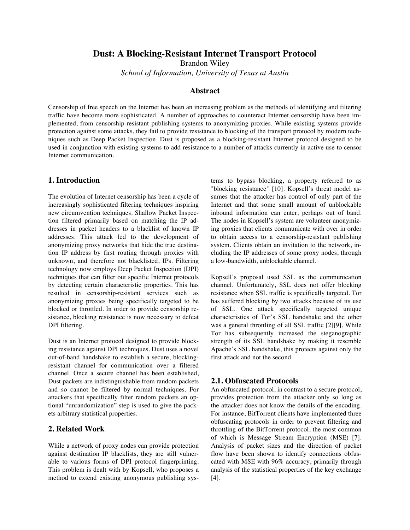# **Dust: A Blocking-Resistant Internet Transport Protocol**

Brandon Wiley

*School of Information, University of Texas at Austin*

### **Abstract**

Censorship of free speech on the Internet has been an increasing problem as the methods of identifying and filtering traffic have become more sophisticated. A number of approaches to counteract Internet censorship have been implemented, from censorship-resistant publishing systems to anonymizing proxies. While existing systems provide protection against some attacks, they fail to provide resistance to blocking of the transport protocol by modern techniques such as Deep Packet Inspection. Dust is proposed as a blocking-resistant Internet protocol designed to be used in conjunction with existing systems to add resistance to a number of attacks currently in active use to censor Internet communication.

## **1. Introduction**

The evolution of Internet censorship has been a cycle of increasingly sophisticated filtering techniques inspiring new circumvention techniques. Shallow Packet Inspection filtered primarily based on matching the IP addresses in packet headers to a blacklist of known IP addresses. This attack led to the development of anonymizing proxy networks that hide the true destination IP address by first routing through proxies with unknown, and therefore not blacklisted, IPs. Filtering technology now employs Deep Packet Inspection (DPI) techniques that can filter out specific Internet protocols by detecting certain characteristic properties. This has resulted in censorship-resistant services such as anonymizing proxies being specifically targeted to be blocked or throttled. In order to provide censorship resistance, blocking resistance is now necessary to defeat DPI filtering.

Dust is an Internet protocol designed to provide blocking resistance against DPI techniques. Dust uses a novel out-of-band handshake to establish a secure, blockingresistant channel for communication over a filtered channel. Once a secure channel has been established, Dust packets are indistinguishable from random packets and so cannot be filtered by normal techniques. For attackers that specifically filter random packets an optional "unrandomization" step is used to give the packets arbitrary statistical properties.

### **2. Related Work**

While a network of proxy nodes can provide protection against destination IP blacklists, they are still vulnerable to various forms of DPI protocol fingerprinting. This problem is dealt with by Kopsell, who proposes a method to extend existing anonymous publishing systems to bypass blocking, a property referred to as "blocking resistance" [10]. Kopsell's threat model assumes that the attacker has control of only part of the Internet and that some small amount of unblockable inbound information can enter, perhaps out of band. The nodes in Kopsell's system are volunteer anonymizing proxies that clients communicate with over in order to obtain access to a censorship-resistant publishing system. Clients obtain an invitation to the network, including the IP addresses of some proxy nodes, through a low-bandwidth, unblockable channel.

Kopsell's proposal used SSL as the communication channel. Unfortunately, SSL does not offer blocking resistance when SSL traffic is specifically targeted. Tor has suffered blocking by two attacks because of its use of SSL. One attack specifically targeted unique characteristics of Tor's SSL handshake and the other was a general throttling of all SSL traffic [2][9]. While Tor has subsequently increased the steganographic strength of its SSL handshake by making it resemble Apache's SSL handshake, this protects against only the first attack and not the second.

### **2.1. Obfuscated Protocols**

An obfuscated protocol, in contrast to a secure protocol, provides protection from the attacker only so long as the attacker does not know the details of the encoding. For instance, BitTorrent clients have implemented three obfuscating protocols in order to prevent filtering and throttling of the BitTorrent protocol, the most common of which is Message Stream Encryption (MSE) [7]. Analysis of packet sizes and the direction of packet flow have been shown to identify connections obfuscated with MSE with 96% accuracy, primarily through analysis of the statistical properties of the key exchange [4].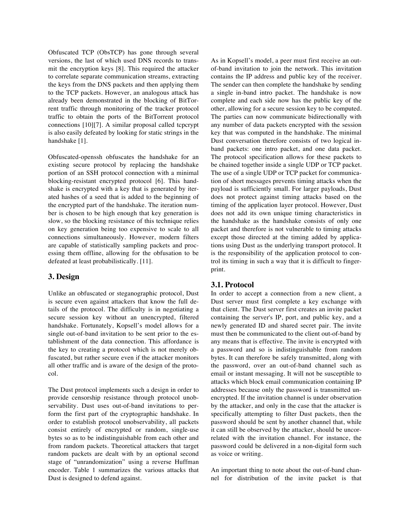Obfuscated TCP (ObsTCP) has gone through several versions, the last of which used DNS records to transmit the encryption keys [8]. This required the attacker to correlate separate communication streams, extracting the keys from the DNS packets and then applying them to the TCP packets. However, an analogous attack has already been demonstrated in the blocking of BitTorrent traffic through monitoring of the tracker protocol traffic to obtain the ports of the BitTorrent protocol connections [10][7]. A similar proposal called tcpcrypt is also easily defeated by looking for static strings in the handshake [1].

Obfuscated-openssh obfuscates the handshake for an existing secure protocol by replacing the handshake portion of an SSH protocol connection with a minimal blocking-resistant encrypted protocol [6]. This handshake is encrypted with a key that is generated by iterated hashes of a seed that is added to the beginning of the encrypted part of the handshake. The iteration number is chosen to be high enough that key generation is slow, so the blocking resistance of this technique relies on key generation being too expensive to scale to all connections simultaneously. However, modern filters are capable of statistically sampling packets and processing them offline, allowing for the obfusation to be defeated at least probabilistically. [11].

#### **3. Design**

Unlike an obfuscated or steganographic protocol, Dust is secure even against attackers that know the full details of the protocol. The difficulty is in negotiating a secure session key without an unencrypted, filtered handshake. Fortunately, Kopsell's model allows for a single out-of-band invitation to be sent prior to the establishment of the data connection. This affordance is the key to creating a protocol which is not merely obfuscated, but rather secure even if the attacker monitors all other traffic and is aware of the design of the protocol.

The Dust protocol implements such a design in order to provide censorship resistance through protocol unobservability. Dust uses out-of-band invitations to perform the first part of the cryptographic handshake. In order to establish protocol unobservability, all packets consist entirely of encrypted or random, single-use bytes so as to be indistinguishable from each other and from random packets. Theoretical attackers that target random packets are dealt with by an optional second stage of "unrandomization" using a reverse Huffman encoder. Table 1 summarizes the various attacks that Dust is designed to defend against.

As in Kopsell's model, a peer must first receive an outof-band invitation to join the network. This invitation contains the IP address and public key of the receiver. The sender can then complete the handshake by sending a single in-band intro packet. The handshake is now complete and each side now has the public key of the other, allowing for a secure session key to be computed. The parties can now communicate bidirectionally with any number of data packets encrypted with the session key that was computed in the handshake. The minimal Dust conversation therefore consists of two logical inband packets: one intro packet, and one data packet. The protocol specification allows for these packets to be chained together inside a single UDP or TCP packet. The use of a single UDP or TCP packet for communication of short messages prevents timing attacks when the payload is sufficiently small. For larger payloads, Dust does not protect against timing attacks based on the timing of the application layer protocol. However, Dust does not add its own unique timing characteristics in the handshake as the handshake consists of only one packet and therefore is not vulnerable to timing attacks except those directed at the timing added by applications using Dust as the underlying transport protocol. It is the responsibility of the application protocol to control its timing in such a way that it is difficult to fingerprint.

### **3.1. Protocol**

In order to accept a connection from a new client, a Dust server must first complete a key exchange with that client. The Dust server first creates an invite packet containing the server's IP, port, and public key, and a newly generated ID and shared secret pair. The invite must then be communicated to the client out-of-band by any means that is effective. The invite is encrypted with a password and so is indistinguishable from random bytes. It can therefore be safely transmitted, along with the password, over an out-of-band channel such as email or instant messaging. It will not be susceptible to attacks which block email communication containing IP addresses because only the password is transmitted unencrypted. If the invitation channel is under observation by the attacker, and only in the case that the attacker is specifically attempting to filter Dust packets, then the password should be sent by another channel that, while it can still be observed by the attacker, should be uncorrelated with the invitation channel. For instance, the password could be delivered in a non-digital form such as voice or writing.

An important thing to note about the out-of-band channel for distribution of the invite packet is that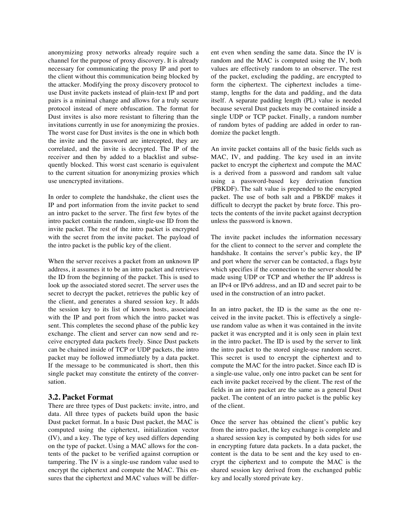anonymizing proxy networks already require such a channel for the purpose of proxy discovery. It is already necessary for communicating the proxy IP and port to the client without this communication being blocked by the attacker. Modifying the proxy discovery protocol to use Dust invite packets instead of plain-text IP and port pairs is a minimal change and allows for a truly secure protocol instead of mere obfuscation. The format for Dust invites is also more resistant to filtering than the invitations currently in use for anonymizing the proxies. The worst case for Dust invites is the one in which both the invite and the password are intercepted, they are correlated, and the invite is decrypted. The IP of the receiver and then by added to a blacklist and subsequently blocked. This worst cast scenario is equivalent to the current situation for anonymizing proxies which use unencrypted invitations.

In order to complete the handshake, the client uses the IP and port information from the invite packet to send an intro packet to the server. The first few bytes of the intro packet contain the random, single-use ID from the invite packet. The rest of the intro packet is encrypted with the secret from the invite packet. The payload of the intro packet is the public key of the client.

When the server receives a packet from an unknown IP address, it assumes it to be an intro packet and retrieves the ID from the beginning of the packet. This is used to look up the associated stored secret. The server uses the secret to decrypt the packet, retrieves the public key of the client, and generates a shared session key. It adds the session key to its list of known hosts, associated with the IP and port from which the intro packet was sent. This completes the second phase of the public key exchange. The client and server can now send and receive encrypted data packets freely. Since Dust packets can be chained inside of TCP or UDP packets, the intro packet may be followed immediately by a data packet. If the message to be communicated is short, then this single packet may constitute the entirety of the conversation.

### **3.2. Packet Format**

There are three types of Dust packets: invite, intro, and data. All three types of packets build upon the basic Dust packet format. In a basic Dust packet, the MAC is computed using the ciphertext, initialization vector (IV), and a key. The type of key used differs depending on the type of packet. Using a MAC allows for the contents of the packet to be verified against corruption or tampering. The IV is a single-use random value used to encrypt the ciphertext and compute the MAC. This ensures that the ciphertext and MAC values will be different even when sending the same data. Since the IV is random and the MAC is computed using the IV, both values are effectively random to an observer. The rest of the packet, excluding the padding, are encrypted to form the ciphertext. The ciphertext includes a timestamp, lengths for the data and padding, and the data itself. A separate padding length (PL) value is needed because several Dust packets may be contained inside a single UDP or TCP packet. Finally, a random number of random bytes of padding are added in order to randomize the packet length.

An invite packet contains all of the basic fields such as MAC, IV, and padding. The key used in an invite packet to encrypt the ciphertext and compute the MAC is a derived from a password and random salt value using a password-based key derivation function (PBKDF). The salt value is prepended to the encrypted packet. The use of both salt and a PBKDF makes it difficult to decrypt the packet by brute force. This protects the contents of the invite packet against decryption unless the password is known.

The invite packet includes the information necessary for the client to connect to the server and complete the handshake. It contains the server's public key, the IP and port where the server can be contacted, a flags byte which specifies if the connection to the server should be made using UDP or TCP and whether the IP address is an IPv4 or IPv6 address, and an ID and secret pair to be used in the construction of an intro packet.

In an intro packet, the ID is the same as the one received in the invite packet. This is effectively a singleuse random value as when it was contained in the invite packet it was encrypted and it is only seen in plain text in the intro packet. The ID is used by the server to link the intro packet to the stored single-use random secret. This secret is used to encrypt the ciphertext and to compute the MAC for the intro packet. Since each ID is a single-use value, only one intro packet can be sent for each invite packet received by the client. The rest of the fields in an intro packet are the same as a general Dust packet. The content of an intro packet is the public key of the client.

Once the server has obtained the client's public key from the intro packet, the key exchange is complete and a shared session key is computed by both sides for use in encrypting future data packets. In a data packet, the content is the data to be sent and the key used to encrypt the ciphertext and to compute the MAC is the shared session key derived from the exchanged public key and locally stored private key.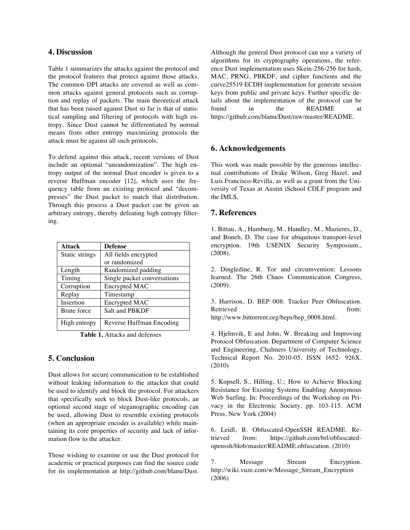## **4. Discussion**

Table 1 summarizes the attacks against the protocol and the protocol features that protect against those attacks. The common DPI attacks are covered as well as common attacks against general protocols such as corruption and replay of packets. The main theoretical attack that has been raised against Dust so far is that of statistical sampling and filtering of protocols with high entropy. Since Dust cannot be differentiated by normal means from other entropy maximizing protocols the attack must be against all such protocols.

To defend against this attack, recent versions of Dust include an optional "unrandomization". The high entropy output of the normal Dust encoder is given to a reverse Huffman encoder [12], which uses the frequency table from an existing protocol and "decompresses" the Dust packet to match that distribution. Through this process a Dust packet can be given an arbitrary entropy, thereby defeating high entropy filtering.

| <b>Attack</b>      | <b>Defense</b>              |
|--------------------|-----------------------------|
| Static strings     | All fields encrypted        |
|                    | or randomized               |
| Length             | Randomized padding          |
| Timing             | Single packet conversations |
| Corruption         | Encrypted MAC               |
| Replay             | Timestamp                   |
| Insertion          | Encrypted MAC               |
| <b>Brute</b> force | Salt and PBKDF              |
| High entropy       | Reverse Huffman Encoding    |

 **Table 1.** Attacks and defenses

# **5. Conclusion**

Dust allows for secure communication to be established without leaking information to the attacker that could be used to identify and block the protocol. For attackers that specifically seek to block Dust-like protocols, an optional second stage of steganographic encoding can be used, allowing Dust to resemble existing protocols (when an appropriate encoder is available) while maintaining its core properties of security and lack of information flow to the attacker.

Those wishing to examine or use the Dust protocol for academic or practical purposes can find the source code for its implementation at http://github.com/blanu/Dust. Although the general Dust protocol can use a variety of algorithms for its cryptography operations, the reference Dust implementation uses Skein-256-256 for hash, MAC, PRNG, PBKDF, and cipher functions and the curve25519 ECDH implementation for generate session keys from public and private keys. Further specific details about the implementation of the protocol can be found in the README at https://github.com/blanu/Dust/raw/master/README.

# **6. Acknowledgements**

This work was made possible by the generous intellectual contributions of Drake Wilson, Greg Hazel, and Luis Francisco-Revilla, as well as a grant from the University of Texas at Austin iSchool CDLF program and the IMLS.

## **7. References**

1. Bittau, A., Hamburg, M., Handley, M., Mazieres, D., and Boneh, D. The case for ubiquitous transport-level encryption. 19th USENIX Security Symposium., (2008).

2. Dingledine, R. Tor and circumvention: Lessons learned. The 26th Chaos Communication Congress, (2009).

3. Harrison, D. BEP 008: Tracker Peer Obfuscation. Retrieved from: http://www.bittorrent.org/beps/bep\_0008.html.

4. Hjelmvik, E and John, W. Breaking and Improving Protocol Obfuscation. Department of Computer Science and Engineering, Chalmers University of Technology, Technical Report No. 2010-05, ISSN 1652- 926X. (2010)

5. Kopsell, S., Hilling, U.: How to Achieve Blocking Resistance for Existing Systems Enabling Anonymous Web Surfing. In: Proceedings of the Workshop on Privacy in the Electronic Society. pp. 103-115. ACM Press, New York (2004)

6. Leidl, B. Obfuscated-OpenSSH README. Retrieved from: https://github.com/brl/obfuscatedopenssh/blob/master/README.obfuscation. (2010)

7. Message Stream Encryption. http://wiki.vuze.com/w/Message\_Stream\_Encryption (2006)